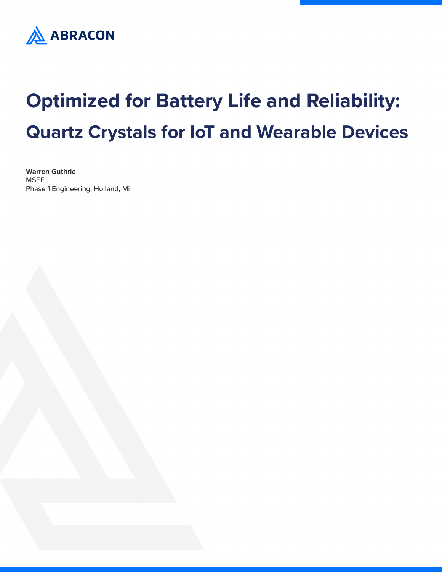

# **Optimized for Battery Life and Reliability: Quartz Crystals for IoT and Wearable Devices**

**Warren Guthrie** MSEE Phase 1 Engineering, Holland, Mi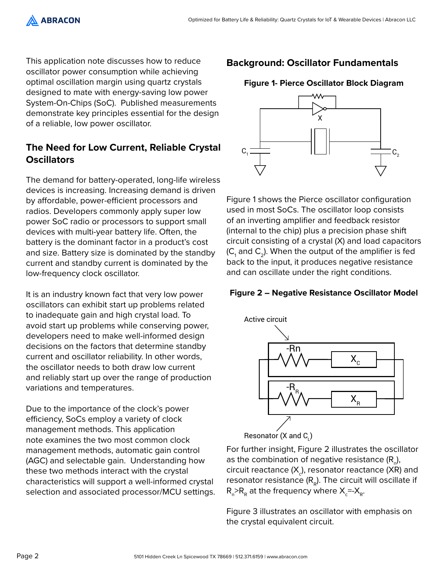**ABRACON** 

This application note discusses how to reduce oscillator power consumption while achieving optimal oscillation margin using quartz crystals designed to mate with energy-saving low power System-On-Chips (SoC). Published measurements demonstrate key principles essential for the design of a reliable, low power oscillator.

# **The Need for Low Current, Reliable Crystal Oscillators**

The demand for battery-operated, long-life wireless devices is increasing. Increasing demand is driven by affordable, power-efficient processors and radios. Developers commonly apply super low power SoC radio or processors to support small devices with multi-year battery life. Often, the battery is the dominant factor in a product's cost and size. Battery size is dominated by the standby current and standby current is dominated by the low-frequency clock oscillator.

It is an industry known fact that very low power oscillators can exhibit start up problems related to inadequate gain and high crystal load. To avoid start up problems while conserving power, developers need to make well-informed design decisions on the factors that determine standby current and oscillator reliability. In other words, the oscillator needs to both draw low current and reliably start up over the range of production variations and temperatures.

Due to the importance of the clock's power efficiency, SoCs employ a variety of clock management methods. This application note examines the two most common clock management methods, automatic gain control (AGC) and selectable gain. Understanding how these two methods interact with the crystal characteristics will support a well-informed crystal selection and associated processor/MCU settings.

# **Background: Oscillator Fundamentals**

### **Figure 1- Pierce Oscillator Block Diagram**



Figure 1 shows the Pierce oscillator configuration used in most SoCs. The oscillator loop consists of an inverting amplifier and feedback resistor (internal to the chip) plus a precision phase shift circuit consisting of a crystal (X) and load capacitors (C<sub>1</sub> and C<sub>2</sub>). When the output of the amplifier is fed back to the input, it produces negative resistance and can oscillate under the right conditions.

#### **Figure 2 – Negative Resistance Oscillator Model**



Resonator (X and C $_{\shortparallel}$ )

For further insight, Figure 2 illustrates the oscillator as the combination of negative resistance (R<sub>n</sub>), circuit reactance (X<sub>c</sub>), resonator reactance (XR) and resonator resistance  $(R_p)$ . The circuit will oscillate if  $R_{\scriptscriptstyle\rm R}$   $>$ R<sub>R</sub> at the frequency where X<sub>c</sub>=-X<sub>R</sub>.

Figure 3 illustrates an oscillator with emphasis on the crystal equivalent circuit.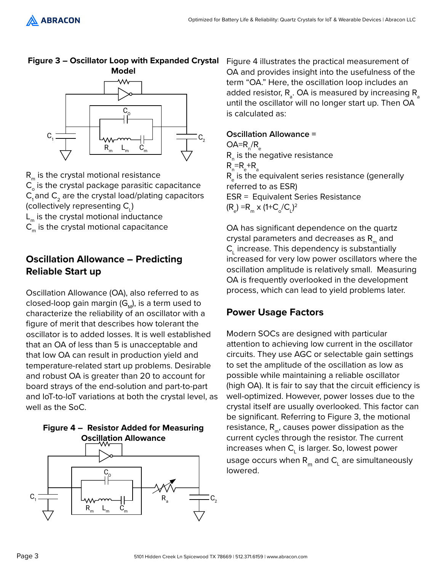

**Figure 3 – Oscillator Loop with Expanded Crystal** 

- $R_m$  is the crystal motional resistance  $C_{o}$  is the crystal package parasitic capacitance  $C_1$  and  $C_2$  are the crystal load/plating capacitors (collectively representing  $\mathsf{C}_{\!\scriptscriptstyle L}^{}$ )  $L_m$  is the crystal motional inductance
- $C_m$  is the crystal motional capacitance

# **Oscillation Allowance – Predicting Reliable Start up**

Oscillation Allowance (OA), also referred to as closed-loop gain margin  $(G_M)$ , is a term used to characterize the reliability of an oscillator with a figure of merit that describes how tolerant the oscillator is to added losses. It is well established that an OA of less than 5 is unacceptable and that low OA can result in production yield and temperature-related start up problems. Desirable and robust OA is greater than 20 to account for board strays of the end-solution and part-to-part and loT-to-loT variations at both the crystal level, as well as the SoC.



 $L_m$  C<sub>m</sub>

 $R_{m}$ 

Figure 4 illustrates the practical measurement of OA and provides insight into the usefulness of the term "OA." Here, the oscillation loop includes an added resistor,  $\mathsf{R}_{_{\mathrm{a}}}$ . OA is measured by increasing  $\mathsf{R}_{_{\mathrm{a}}}$ until the oscillator will no longer start up. Then OA is calculated as:

## **Oscillation Allowance =**

 $OA=R_{n}/R_{e}$  $\mathsf{R}_{_\mathsf{N}}$  is the negative resistance  $R_{\rm n}$ = $R_{\rm e}$ + $R_{\rm a}$  $\mathsf{R}_{_\mathrm{e}}$  is the equivalent series resistance (generally referred to as ESR) ESR = Equivalent Series Resistance  $(R_e) = R_m \times (1 + C_o/C_l)^2$ 

OA has significant dependence on the quartz crystal parameters and decreases as  $R_m$  and  $\mathsf{C}_\mathsf{L}$  increase. This dependency is substantially increased for very low power oscillators where the oscillation amplitude is relatively small. Measuring OA is frequently overlooked in the development process, which can lead to yield problems later.

# **Power Usage Factors**

Modern SOCs are designed with particular attention to achieving low current in the oscillator circuits. They use AGC or selectable gain settings to set the amplitude of the oscillation as low as possible while maintaining a reliable oscillator (high OA). It is fair to say that the circuit efficiency is well-optimized. However, power losses due to the crystal itself are usually overlooked. This factor can be significant. Referring to Figure 3, the motional resistance,  $R_{m}$ , causes power dissipation as the current cycles through the resistor. The current increases when  $\mathsf{C}_\mathsf{L}$  is larger. So, lowest power usage occurs when  $\mathsf{R}_{_{\mathsf{m}}}$  and  $\mathsf{C}_{_{\mathsf{L}}}$  are simultaneously lowered.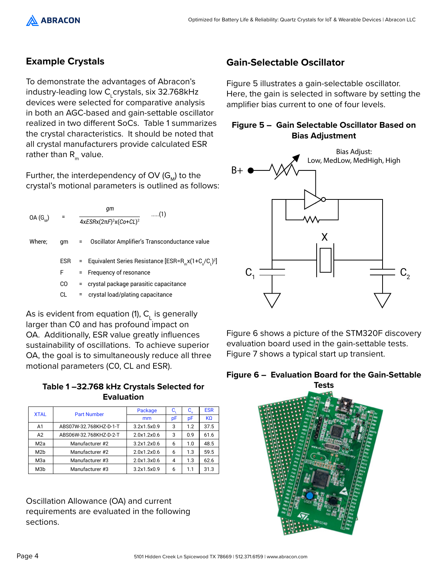

## **Example Crystals**

To demonstrate the advantages of Abracon's industry-leading low C<sub>L</sub>crystals, six 32.768kHz devices were selected for comparative analysis in both an AGC-based and gain-settable oscillator realized in two different SoCs. Table 1 summarizes the crystal characteristics. It should be noted that all crystal manufacturers provide calculated ESR rather than  $R_m$  value.

Further, the interdependency of OV  $(G_{M})$  to the crystal's motional parameters is outlined as follows:

| $OA(G_{M})$ |            | qт<br>(1)                                                          |
|-------------|------------|--------------------------------------------------------------------|
|             |            | $4xESRx(2\pi F)^2x(Co+CL)^2$                                       |
| Where;      | qm         | Oscillator Amplifier's Transconductance value<br>$=$ $-$           |
|             | <b>ESR</b> | = Equivalent Series Resistance $[ESR = R_{m}x(1+C_{n}/C_{n})^{2}]$ |
|             | F          | = Frequency of resonance                                           |
|             | CО         | = crystal package parasitic capacitance                            |
|             | СL         | crystal load/plating capacitance                                   |

As is evident from equation (1),  $C_{L}$  is generally larger than C0 and has profound impact on OA. Additionally, ESR value greatly influences sustainability of oscillations. To achieve superior OA, the goal is to simultaneously reduce all three motional parameters (C0, CL and ESR).

**Table 1 –32.768 kHz Crystals Selected for Evaluation**

| <b>XTAL</b>      | <b>Part Number</b>     | Package     | $C_{\rm i}$ | $C_{0}$ | <b>ESR</b> |
|------------------|------------------------|-------------|-------------|---------|------------|
|                  |                        | mm          | рF          | рF      | <b>KQ</b>  |
| A1               | ABS07W-32.768KHZ-D-1-T | 3.2x1.5x0.9 | 3           | 12      | 37.5       |
| A2               | ABS06W-32.768KHZ-D-2-T | 2.0x1.2x0.6 | 3           | 0.9     | 61.6       |
| M <sub>2</sub> a | Manufacturer #2        | 3.2x1.2x0.6 | 6           | 1.0     | 48.5       |
| M <sub>2</sub> b | Manufacturer #2        | 2.0x1.2x0.6 | 6           | 1.3     | 59.5       |
| M <sub>3</sub> a | Manufacturer #3        | 2.0x1.3x0.6 | 4           | 1.3     | 62.6       |
| M <sub>3</sub> b | Manufacturer #3        | 3.2x1.5x0.9 | 6           | 1.1     | 31.3       |

Oscillation Allowance (OA) and current requirements are evaluated in the following sections.

# **Gain-Selectable Oscillator**

Figure 5 illustrates a gain-selectable oscillator. Here, the gain is selected in software by setting the amplifier bias current to one of four levels.

#### **Figure 5 – Gain Selectable Oscillator Based on Bias Adjustment**



Figure 6 shows a picture of the STM320F discovery evaluation board used in the gain-settable tests. Figure 7 shows a typical start up transient.



#### **Figure 6 – Evaluation Board for the Gain-Settable Tests**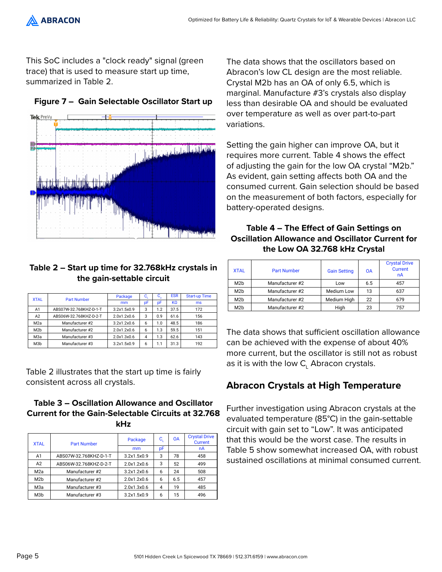

This SoC includes a "clock ready" signal (green trace) that is used to measure start up time, summarized in Table 2.



#### **Figure 7 – Gain Selectable Oscillator Start up**

#### **Table 2 – Start up time for 32.768kHz crystals in the gain-settable circuit**

|                  |                        | Package     | C, | $\mathbf{C}_\alpha$ | <b>ESR</b> | <b>Start-up Time</b> |
|------------------|------------------------|-------------|----|---------------------|------------|----------------------|
| <b>XTAL</b>      | <b>Part Number</b>     | mm          | рF | pF                  | KΩ         | ms                   |
| A1               | ABS07W-32.768KHZ-D-1-T | 3.2x1.5x0.9 | 3  | 1.2                 | 37.5       | 172                  |
| A2               | ABS06W-32.768KHZ-D-2-T | 2.0x1.2x0.6 | 3  | 0.9                 | 61.6       | 156                  |
| M <sub>2</sub> a | Manufacturer #2        | 3.2x1.2x0.6 | 6  | 1.0                 | 48.5       | 186                  |
| M <sub>2</sub> b | Manufacturer #2        | 2.0x1.2x0.6 | 6  | 1.3                 | 59.5       | 151                  |
| МЗа              | Manufacturer #3        | 2.0x1.3x0.6 | 4  | 1.3                 | 62.6       | 143                  |
| M <sub>3</sub> b | Manufacturer #3        | 3.2x1.5x0.9 | 6  | 1.1                 | 31.3       | 192                  |

Table 2 illustrates that the start up time is fairly consistent across all crystals.

#### **Table 3 – Oscillation Allowance and Oscillator Current for the Gain-Selectable Circuits at 32.768 kHz**

| <b>XTAL</b>      | <b>Part Number</b>     | Package     | C, | <b>OA</b> | <b>Crystal Drive</b><br><b>Current</b> |
|------------------|------------------------|-------------|----|-----------|----------------------------------------|
|                  |                        | mm          | pF |           | nA                                     |
| A <sub>1</sub>   | ABS07W-32.768KHZ-D-1-T | 3.2x1.5x0.9 | 3  | 78        | 458                                    |
| A2               | ABS06W-32.768KHZ-D-2-T | 2.0x1.2x0.6 | 3  | 52        | 499                                    |
| M <sub>2</sub> a | Manufacturer #2        | 3.2x1.2x0.6 | 6  | 24        | 508                                    |
| M <sub>2</sub> b | Manufacturer #2        | 2.0x1.2x0.6 | 6  | 6.5       | 457                                    |
| M <sub>3</sub> a | Manufacturer #3        | 2.0x1.3x0.6 | 4  | 19        | 485                                    |
| M <sub>3</sub> b | Manufacturer #3        | 3.2x1.5x0.9 | 6  | 15        | 496                                    |

The data shows that the oscillators based on Abracon's low CL design are the most reliable. Crystal M2b has an OA of only 6.5, which is marginal. Manufacture #3's crystals also display less than desirable OA and should be evaluated over temperature as well as over part-to-part variations.

Setting the gain higher can improve OA, but it requires more current. Table 4 shows the effect of adjusting the gain for the low OA crystal "M2b." As evident, gain setting affects both OA and the consumed current. Gain selection should be based on the measurement of both factors, especially for battery-operated designs.

#### **Table 4 – The Effect of Gain Settings on Oscillation Allowance and Oscillator Current for the Low OA 32.768 kHz Crystal**

| <b>XTAL</b>      | <b>Part Number</b> | <b>Gain Setting</b> | <b>OA</b> | <b>Crystal Drive</b><br><b>Current</b><br>nA |
|------------------|--------------------|---------------------|-----------|----------------------------------------------|
| M <sub>2</sub> b | Manufacturer #2    | Low                 | 6.5       | 457                                          |
| M <sub>2</sub> b | Manufacturer #2    | Medium Low          | 13        | 637                                          |
| M <sub>2</sub> b | Manufacturer #2    | Medium High         | 22        | 679                                          |
| M <sub>2</sub> b | Manufacturer #2    | Hiah                | 23        | 757                                          |

The data shows that sufficient oscillation allowance can be achieved with the expense of about 40% more current, but the oscillator is still not as robust as it is with the low  $\mathsf{C}_\mathsf{L}$  Abracon crystals.

# **Abracon Crystals at High Temperature**

Further investigation using Abracon crystals at the evaluated temperature (85°C) in the gain-settable circuit with gain set to "Low". It was anticipated that this would be the worst case. The results in Table 5 show somewhat increased OA, with robust sustained oscillations at minimal consumed current.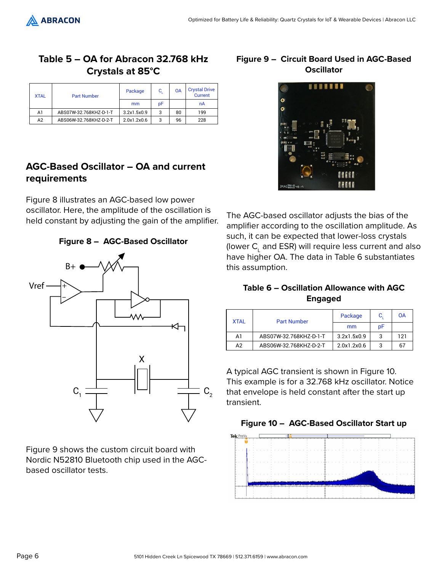

# **Table 5 – OA for Abracon 32.768 kHz Crystals at 85°C**

| <b>XTAL</b> | <b>Part Number</b>     | Package     | C, | 0A | <b>Crystal Drive</b><br><b>Current</b> |
|-------------|------------------------|-------------|----|----|----------------------------------------|
|             |                        | mm          | pF |    | nA                                     |
| A1          | ABS07W-32.768KHZ-D-1-T | 3.2x1.5x0.9 | 3  | 80 | 199                                    |
| A2          | ABS06W-32.768KHZ-D-2-T | 2.0x1.2x0.6 | 3  | 96 | 228                                    |

# **AGC-Based Oscillator – OA and current requirements**

Figure 8 illustrates an AGC-based low power oscillator. Here, the amplitude of the oscillation is held constant by adjusting the gain of the amplifier.





Figure 9 shows the custom circuit board with Nordic N52810 Bluetooth chip used in the AGCbased oscillator tests.

#### **Figure 9 – Circuit Board Used in AGC-Based Oscillator**



The AGC-based oscillator adjusts the bias of the amplifier according to the oscillation amplitude. As such, it can be expected that lower-loss crystals (lower  $\mathsf{C}_\mathsf{L}$  and ESR) will require less current and also have higher OA. The data in Table 6 substantiates this assumption.

#### **Table 6 – Oscillation Allowance with AGC Engaged**

| <b>XTAL</b> | <b>Part Number</b>     | Package     | C, | OA  |
|-------------|------------------------|-------------|----|-----|
|             |                        | mm          | pF |     |
| A1          | ABS07W-32.768KHZ-D-1-T | 3.2x1.5x0.9 | 3  | 121 |
| A2          | ABS06W-32.768KHZ-D-2-T | 2.0x1.2x0.6 | 3  | 67  |

A typical AGC transient is shown in Figure 10. This example is for a 32.768 kHz oscillator. Notice that envelope is held constant after the start up transient.



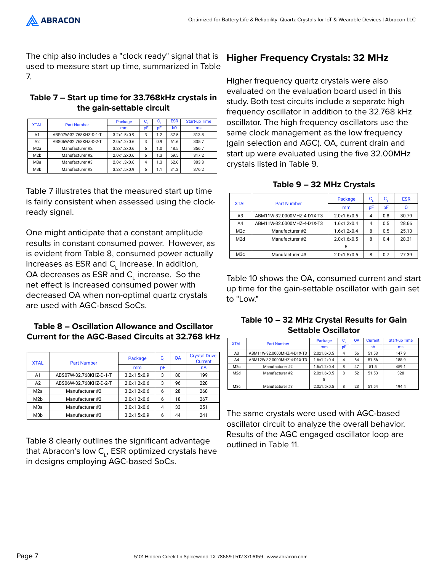The chip also includes a "clock ready" signal that is used to measure start up time, summarized in Table 7.

#### **Table 7 – Start up time for 33.768kHz crystals in the gain-settable circuit**

| <b>XTAL</b>      | <b>Part Number</b>     | Package     | c, | $C_{\alpha}$ | <b>ESR</b>     | <b>Start-up Time</b> |
|------------------|------------------------|-------------|----|--------------|----------------|----------------------|
|                  |                        | mm          | рF | pF           | k <sub>0</sub> | ms                   |
| A1               | ABS07W-32.768KHZ-D-1-T | 3.2x1.5x0.9 | 3  | 1.2          | 37.5           | 313.8                |
| A2               | ABS06W-32.768KHZ-D-2-T | 2.0x1.2x0.6 | 3  | 0.9          | 61.6           | 335.7                |
| M <sub>2</sub> a | Manufacturer #2        | 3.2x1.2x0.6 | 6  | 1.0          | 48.5           | 356.7                |
| M <sub>2</sub> b | Manufacturer #2        | 2.0x1.2x0.6 | 6  | 1.3          | 59.5           | 317.2                |
| МЗа              | Manufacturer #3        | 2.0x1.3x0.6 | 4  | 1.3          | 62.6           | 303.3                |
| M <sub>3</sub> b | Manufacturer #3        | 3.2x1.5x0.9 | 6  | 1.1          | 31.3           | 376.2                |

Table 7 illustrates that the measured start up time is fairly consistent when assessed using the clockready signal.

One might anticipate that a constant amplitude results in constant consumed power. However, as is evident from Table 8, consumed power actually increases as ESR and  $\mathsf{C}_\mathsf{L}$  increase. In addition, OA decreases as ESR and  $\mathsf{C}_\mathsf{L}$  increase. So the net effect is increased consumed power with decreased OA when non-optimal quartz crystals are used with AGC-based SoCs.

#### **Table 8 – Oscillation Allowance and Oscillator Current for the AGC-Based Circuits at 32.768 kHz**

| <b>XTAL</b>      | <b>Part Number</b>     | Package     | c, | <b>OA</b> | <b>Crystal Drive</b><br>Current |
|------------------|------------------------|-------------|----|-----------|---------------------------------|
|                  |                        | mm          | рF |           | nA                              |
| A1               | ABS07W-32.768KHZ-D-1-T | 3.2x1.5x0.9 | 3  | 80        | 199                             |
| A2               | ABS06W-32.768KHZ-D-2-T | 2.0x1.2x0.6 | 3  | 96        | 228                             |
| M <sub>2</sub> a | Manufacturer #2        | 3.2x1.2x0.6 | 6  | 28        | 268                             |
| M <sub>2</sub> b | Manufacturer #2        | 2.0x1.2x0.6 | 6  | 18        | 267                             |
| МЗа              | Manufacturer #3        | 2.0x1.3x0.6 | 4  | 33        | 251                             |
| M <sub>3</sub> b | Manufacturer #3        | 3.2x1.5x0.9 | 6  | 44        | 241                             |

Table 8 clearly outlines the significant advantage that Abracon's low C<sub>L</sub>, ESR optimized crystals have in designs employing AGC-based SoCs.

# **Higher Frequency Crystals: 32 MHz**

Higher frequency quartz crystals were also evaluated on the evaluation board used in this study. Both test circuits include a separate high frequency oscillator in addition to the 32.768 kHz oscillator. The high frequency oscillators use the same clock management as the low frequency (gain selection and AGC). OA, current drain and start up were evaluated using the five 32.00MHz crystals listed in Table 9.

|  |  |  |  | Table 9 – 32 MHz Crystals |
|--|--|--|--|---------------------------|
|--|--|--|--|---------------------------|

| <b>XTAL</b>      | <b>Part Number</b>         | Package     | $C_{\rm i}$ | $\mathbf{C}_\mathrm{o}$ | <b>ESR</b> |
|------------------|----------------------------|-------------|-------------|-------------------------|------------|
|                  |                            | mm          | рF          | pF                      |            |
| A <sub>3</sub>   | ABM11W-32.0000MHZ-4-D1X-T3 | 2.0x1.6x0.5 | 4           | 0.8                     | 30.79      |
| A4               | ABM11W-32.0000MHZ-4-D1X-T3 | 1.6x1.2x0.4 | 4           | 0.5                     | 28.66      |
| M <sub>2c</sub>  | Manufacturer #2            | 1.6x1.2x0.4 | 8           | 0.5                     | 25.13      |
| M2d              | Manufacturer #2            | 2.0x1.6x0.5 | 8           | 0.4                     | 28.31      |
|                  |                            | 5           |             |                         |            |
| M <sub>3</sub> c | Manufacturer #3            | 2.0x1.5x0.5 | 8           | 0.7                     | 27.39      |

Table 10 shows the OA, consumed current and start up time for the gain-settable oscillator with gain set to "Low."

#### **Table 10 – 32 MHz Crystal Results for Gain Settable Oscillator**

| <b>XTAL</b>     | <b>Part Number</b>         | Package     | C.             | <b>OA</b> | <b>Current</b> | <b>Start-up Time</b> |
|-----------------|----------------------------|-------------|----------------|-----------|----------------|----------------------|
|                 |                            | mm          | рF             |           | nA             | ms                   |
| A <sub>3</sub>  | ABM11W-32.0000MHZ-4-D1X-T3 | 2.0x1.6x0.5 | $\overline{4}$ | 56        | 51.53          | 147.9                |
| A4              | ABM12W-32.0000MHZ-4-D1X-T3 | 1.6x1.2x0.4 | $\overline{4}$ | 64        | 51.56          | 188.9                |
| M2c             | Manufacturer #2            | 1.6x1.2x0.4 | 8              | 47        | 51.5           | 459.1                |
| M2d             | Manufacturer #2            | 2.0x1.6x0.5 | 8              | 52        | 51.53          | 328                  |
|                 |                            |             |                |           |                |                      |
| M <sub>3c</sub> | Manufacturer #3            | 2.0x1.5x0.5 | 8              | 23        | 51.54          | 194.4                |

The same crystals were used with AGC-based oscillator circuit to analyze the overall behavior. Results of the AGC engaged oscillator loop are outlined in Table 11.